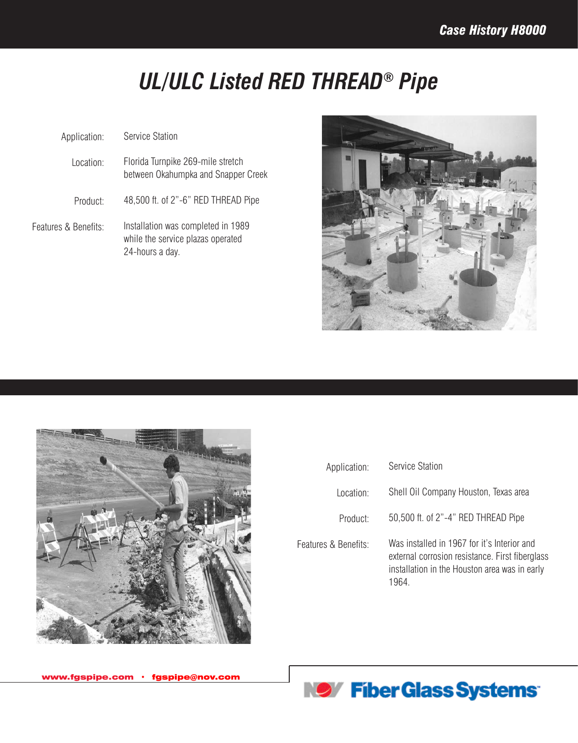## *UL/ULC Listed RED THREAD® Pipe*

| Application:         | Service Station                                                                            |
|----------------------|--------------------------------------------------------------------------------------------|
| Location:            | Florida Turnpike 269-mile stretch<br>between Okahumpka and Snapper Creek                   |
| Product:             | 48,500 ft. of 2"-6" RED THREAD Pipe                                                        |
| Features & Benefits: | Installation was completed in 1989<br>while the service plazas operated<br>24-hours a day. |





| Application:         | <b>Service Station</b>                                                                                                                                   |
|----------------------|----------------------------------------------------------------------------------------------------------------------------------------------------------|
| Location:            | Shell Oil Company Houston, Texas area                                                                                                                    |
| Product:             | 50,500 ft. of 2"-4" RED THREAD Pipe                                                                                                                      |
| Features & Benefits: | Was installed in 1967 for it's Interior and<br>external corrosion resistance. First fiberglass<br>installation in the Houston area was in early<br>1964. |